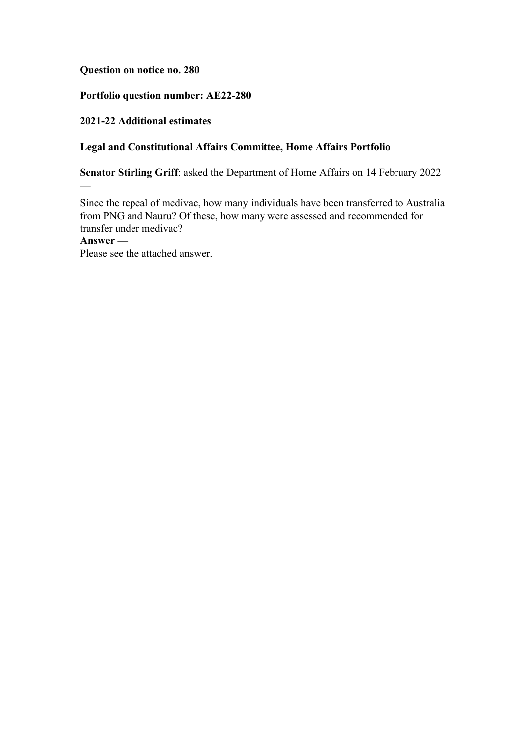**Question on notice no. 280**

# **Portfolio question number: AE22-280**

## **2021-22 Additional estimates**

 $\overline{a}$ 

## **Legal and Constitutional Affairs Committee, Home Affairs Portfolio**

**Senator Stirling Griff**: asked the Department of Home Affairs on 14 February 2022

Since the repeal of medivac, how many individuals have been transferred to Australia from PNG and Nauru? Of these, how many were assessed and recommended for transfer under medivac? **Answer —**

Please see the attached answer.